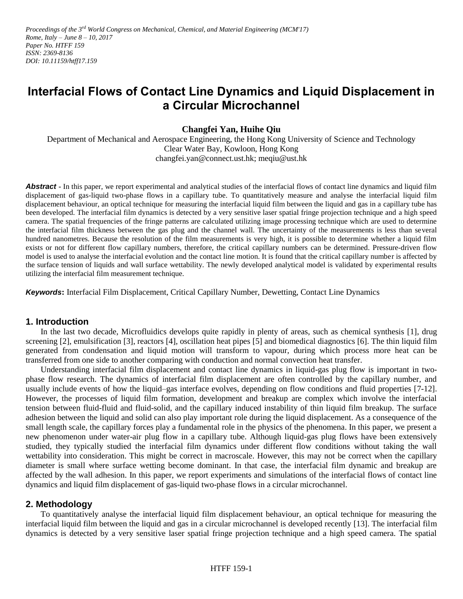Proceedings of the 3<sup>rd</sup> World Congress on Mechanical, Chemical, and Material Engineering (MCM'17) *Rome, Italy – June 8 – 10, 2017 Paper No. HTFF 159 ISSN: 2369-8136 DOI: 10.11159/htff17.159*

# **Interfacial Flows of Contact Line Dynamics and Liquid Displacement in a Circular Microchannel**

**Changfei Yan, Huihe Qiu**

Department of Mechanical and Aerospace Engineering, the Hong Kong University of Science and Technology Clear Water Bay, Kowloon, Hong Kong [changfei.yan@connect.ust.hk;](mailto:changfei.yan@connect.ust.hk) [meqiu@ust.hk](mailto:meqiu@ust.hk)

Abstract **-** In this paper, we report experimental and analytical studies of the interfacial flows of contact line dynamics and liquid film displacement of gas-liquid two-phase flows in a capillary tube. To quantitatively measure and analyse the interfacial liquid film displacement behaviour, an optical technique for measuring the interfacial liquid film between the liquid and gas in a capillary tube has been developed. The interfacial film dynamics is detected by a very sensitive laser spatial fringe projection technique and a high speed camera. The spatial frequencies of the fringe patterns are calculated utilizing image processing technique which are used to determine the interfacial film thickness between the gas plug and the channel wall. The uncertainty of the measurements is less than several hundred nanometres. Because the resolution of the film measurements is very high, it is possible to determine whether a liquid film exists or not for different flow capillary numbers, therefore, the critical capillary numbers can be determined. Pressure-driven flow model is used to analyse the interfacial evolution and the contact line motion. It is found that the critical capillary number is affected by the surface tension of liquids and wall surface wettability. The newly developed analytical model is validated by experimental results utilizing the interfacial film measurement technique.

*Keywords***:** Interfacial Film Displacement, Critical Capillary Number, Dewetting, Contact Line Dynamics

### **1. Introduction**

In the last two decade, Microfluidics develops quite rapidly in plenty of areas, such as chemical synthesis [1], drug screening [2], emulsification [3], reactors [4], oscillation heat pipes [5] and biomedical diagnostics [6]. The thin liquid film generated from condensation and liquid motion will transform to vapour, during which process more heat can be transferred from one side to another comparing with conduction and normal convection heat transfer.

Understanding interfacial film displacement and contact line dynamics in liquid-gas plug flow is important in twophase flow research. The dynamics of interfacial film displacement are often controlled by the capillary number, and usually include events of how the liquid–gas interface evolves, depending on flow conditions and fluid properties [7-12]. However, the processes of liquid film formation, development and breakup are complex which involve the interfacial tension between fluid-fluid and fluid-solid, and the capillary induced instability of thin liquid film breakup. The surface adhesion between the liquid and solid can also play important role during the liquid displacement. As a consequence of the small length scale, the capillary forces play a fundamental role in the physics of the phenomena. In this paper, we present a new phenomenon under water-air plug flow in a capillary tube. Although liquid-gas plug flows have been extensively studied, they typically studied the interfacial film dynamics under different flow conditions without taking the wall wettability into consideration. This might be correct in macroscale. However, this may not be correct when the capillary diameter is small where surface wetting become dominant. In that case, the interfacial film dynamic and breakup are affected by the wall adhesion. In this paper, we report experiments and simulations of the interfacial flows of contact line dynamics and liquid film displacement of gas-liquid two-phase flows in a circular microchannel.

### **2. Methodology**

To quantitatively analyse the interfacial liquid film displacement behaviour, an optical technique for measuring the interfacial liquid film between the liquid and gas in a circular microchannel is developed recently [13]. The interfacial film dynamics is detected by a very sensitive laser spatial fringe projection technique and a high speed camera. The spatial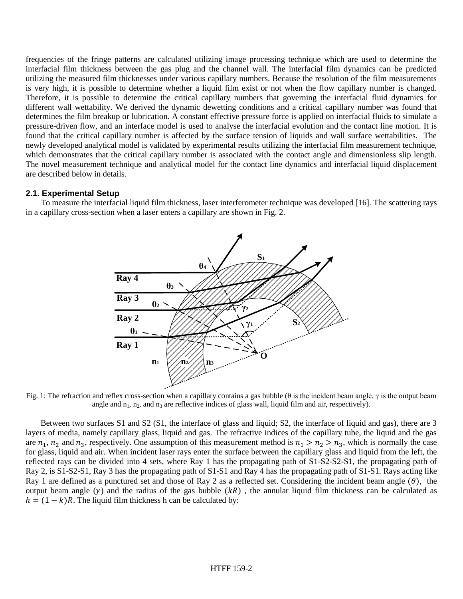frequencies of the fringe patterns are calculated utilizing image processing technique which are used to determine the interfacial film thickness between the gas plug and the channel wall. The interfacial film dynamics can be predicted utilizing the measured film thicknesses under various capillary numbers. Because the resolution of the film measurements is very high, it is possible to determine whether a liquid film exist or not when the flow capillary number is changed. Therefore, it is possible to determine the critical capillary numbers that governing the interfacial fluid dynamics for different wall wettability. We derived the dynamic dewetting conditions and a critical capillary number was found that determines the film breakup or lubrication. A constant effective pressure force is applied on interfacial fluids to simulate a pressure-driven flow, and an interface model is used to analyse the interfacial evolution and the contact line motion. It is found that the critical capillary number is affected by the surface tension of liquids and wall surface wettabilities. The newly developed analytical model is validated by experimental results utilizing the interfacial film measurement technique, which demonstrates that the critical capillary number is associated with the contact angle and dimensionless slip length. The novel measurement technique and analytical model for the contact line dynamics and interfacial liquid displacement are described below in details.

### **2.1. Experimental Setup**

To measure the interfacial liquid film thickness, laser interferometer technique was developed [16]. The scattering rays in a capillary cross-section when a laser enters a capillary are shown in Fig. 2.



Fig. 1: The refraction and reflex cross-section when a capillary contains a gas bubble (θ is the incident beam angle,  $γ$  is the output beam angle and  $n_1$ ,  $n_2$ , and  $n_3$  are reflective indices of glass wall, liquid film and air, respectively).

Between two surfaces S1 and S2 (S1, the interface of glass and liquid; S2, the interface of liquid and gas), there are 3 layers of media, namely capillary glass, liquid and gas. The refractive indices of the capillary tube, the liquid and the gas are  $n_1$ ,  $n_2$  and  $n_3$ , respectively. One assumption of this measurement method is  $n_1 > n_2 > n_3$ , which is normally the case for glass, liquid and air. When incident laser rays enter the surface between the capillary glass and liquid from the left, the reflected rays can be divided into 4 sets, where Ray 1 has the propagating path of S1-S2-S2-S1, the propagating path of Ray 2, is S1-S2-S1, Ray 3 has the propagating path of S1-S1 and Ray 4 has the propagating path of S1-S1. Rays acting like Ray 1 are defined as a punctured set and those of Ray 2 as a reflected set. Considering the incident beam angle  $(\theta)$ , the output beam angle  $(y)$  and the radius of the gas bubble  $(kR)$ , the annular liquid film thickness can be calculated as  $h = (1 - k)R$ . The liquid film thickness h can be calculated by: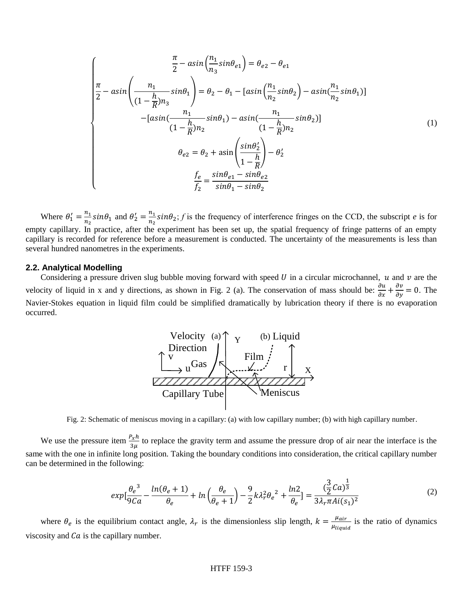$$
\frac{\pi}{2} - a\sin\left(\frac{n_1}{n_3}\sin\theta_{e1}\right) = \theta_{e2} - \theta_{e1}
$$
\n
$$
\frac{\pi}{2} - a\sin\left(\frac{n_1}{(1 - \frac{h}{R})n_3}\sin\theta_1\right) = \theta_2 - \theta_1 - \left[a\sin\left(\frac{n_1}{n_2}\sin\theta_2\right) - a\sin\left(\frac{n_1}{n_2}\sin\theta_1\right)\right]
$$
\n
$$
-\left[a\sin\left(\frac{n_1}{(1 - \frac{h}{R})n_2}\sin\theta_1\right) - a\sin\left(\frac{n_1}{(1 - \frac{h}{R})n_2}\sin\theta_2\right)\right]
$$
\n
$$
\theta_{e2} = \theta_2 + a\sin\left(\frac{\sin\theta_2'}{1 - \frac{h}{R}}\right) - \theta_2'
$$
\n
$$
\frac{f_e}{f_2} = \frac{\sin\theta_{e1} - \sin\theta_{e2}}{\sin\theta_1 - \sin\theta_2}
$$
\n(1)

Where  $\theta'_1 = \frac{n_1}{n_2}$  $\frac{n_1}{n_2}$ sin $\theta_1$  and  $\theta'_2 = \frac{n_1}{n_2}$  $\frac{n_1}{n_2}$ sin $\theta_2$ ; *f* is the frequency of interference fringes on the CCD, the subscript *e* is for empty capillary. In practice, after the experiment has been set up, the spatial frequency of fringe patterns of an empty capillary is recorded for reference before a measurement is conducted. The uncertainty of the measurements is less than several hundred nanometres in the experiments.

#### **2.2. Analytical Modelling**

Considering a pressure driven slug bubble moving forward with speed  $U$  in a circular microchannel,  $u$  and  $v$  are the velocity of liquid in x and y directions, as shown in Fig. 2 (a). The conservation of mass should be:  $\frac{\partial u}{\partial x} + \frac{\partial v}{\partial y} = 0$ . The Navier-Stokes equation in liquid film could be simplified dramatically by lubrication theory if there is no evaporation occurred.



Fig. 2: Schematic of meniscus moving in a capillary: (a) with low capillary number; (b) with high capillary number.

We use the pressure item  $\frac{P_x h}{3\mu}$  to replace the gravity term and assume the pressure drop of air near the interface is the same with the one in infinite long position. Taking the boundary conditions into consideration, the critical capillary number can be determined in the following:

$$
exp\left[\frac{\theta_e^3}{9Ca} - \frac{ln(\theta_e + 1)}{\theta_e} + ln\left(\frac{\theta_e}{\theta_e + 1}\right) - \frac{9}{2}k\lambda_r^2\theta_e^2 + \frac{ln2}{\theta_e}\right] = \frac{(\frac{3}{2}Ca)^{\frac{1}{3}}}{3\lambda_r \pi Ai(s_1)^2}
$$
(2)

where  $\theta_e$  is the equilibrium contact angle,  $\lambda_r$  is the dimensionless slip length,  $k = \frac{\mu_{air}}{m}$  $\frac{\mu_{air}}{\mu_{liquid}}$  is the ratio of dynamics viscosity and  $Ca$  is the capillary number.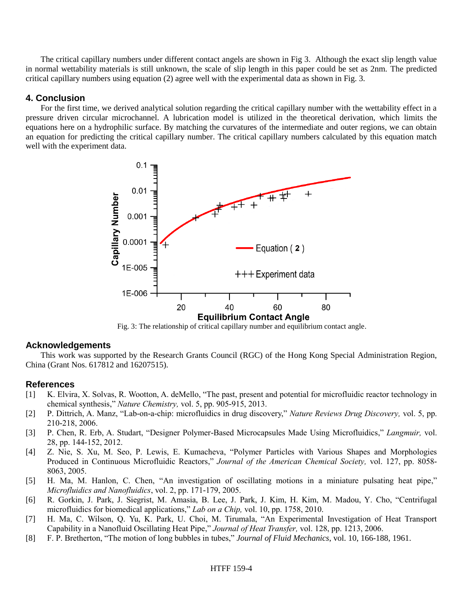The critical capillary numbers under different contact angels are shown in Fig 3. Although the exact slip length value in normal wettability materials is still unknown, the scale of slip length in this paper could be set as 2nm. The predicted critical capillary numbers using equation (2) agree well with the experimental data as shown in Fig. 3.

### **4. Conclusion**

For the first time, we derived analytical solution regarding the critical capillary number with the wettability effect in a pressure driven circular microchannel. A lubrication model is utilized in the theoretical derivation, which limits the equations here on a hydrophilic surface. By matching the curvatures of the intermediate and outer regions, we can obtain an equation for predicting the critical capillary number. The critical capillary numbers calculated by this equation match well with the experiment data.



Fig. 3: The relationship of critical capillary number and equilibrium contact angle.

# **Acknowledgements**

This work was supported by the Research Grants Council (RGC) of the Hong Kong Special Administration Region, China (Grant Nos. 617812 and 16207515).

# **References**

- [1] K. Elvira, X. Solvas, R. Wootton, A. deMello, "The past, present and potential for microfluidic reactor technology in chemical synthesis," *Nature Chemistry,* vol. 5, pp. 905-915, 2013.
- [2] P. Dittrich, A. Manz, "Lab-on-a-chip: microfluidics in drug discovery," *Nature Reviews Drug Discovery,* vol. 5, pp. 210-218, 2006.
- [3] P. Chen, R. Erb, A. Studart, "Designer Polymer-Based Microcapsules Made Using Microfluidics," *Langmuir,* vol. 28, pp. 144-152, 2012.
- [4] Z. Nie, S. Xu, M. Seo, P. Lewis, E. Kumacheva, "Polymer Particles with Various Shapes and Morphologies Produced in Continuous Microfluidic Reactors," *Journal of the American Chemical Society,* vol. 127, pp. 8058- 8063, 2005.
- [5] H. Ma, M. Hanlon, C. Chen, "An investigation of oscillating motions in a miniature pulsating heat pipe," *Microfluidics and Nanofluidics*, vol. 2, pp. 171-179, 2005.
- [6] R. Gorkin, J. Park, J. Siegrist, M. Amasia, B. Lee, J. Park, J. Kim, H. Kim, M. Madou, Y. Cho, "Centrifugal microfluidics for biomedical applications," *Lab on a Chip,* vol. 10, pp. 1758, 2010.
- [7] H. Ma, C. Wilson, Q. Yu, K. Park, U. Choi, M. Tirumala, "An Experimental Investigation of Heat Transport Capability in a Nanofluid Oscillating Heat Pipe," *Journal of Heat Transfer,* vol. 128, pp. 1213, 2006.
- [8] F. P. Bretherton, "The motion of long bubbles in tubes," *Journal of Fluid Mechanics*, vol. 10, 166-188, 1961.